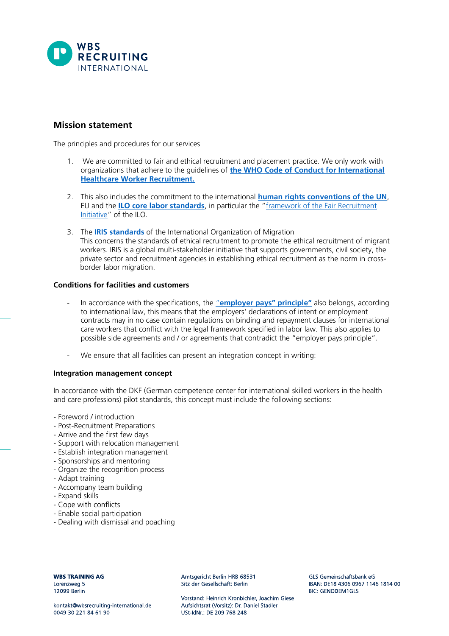

## **Mission statement**

The principles and procedures for our services

- 1. We are committed to fair and ethical recruitment and placement practice. We only work with organizations that adhere to the guidelines of **[the WHO Code of Conduct for International](https://www.who.int/publications/m/item/migration-code)  [Healthcare Worker Recruitment.](https://www.who.int/publications/m/item/migration-code)**
- 2. This also includes the commitment to the international **[human rights conventions of the UN](https://www.un.org/en/about-us/universal-declaration-of-human-rights)**, EU and the **[ILO core labor standards](https://www.ilo.org/global/standards/lang--en/index.htm)**, in particular the "[framework of the Fair Recruitment](https://www.ilo.org/global/topics/fair-recruitment/lang--en/index.htm)  [Initiative](https://www.ilo.org/global/topics/fair-recruitment/lang--en/index.htm)" of the ILO.
- 3. The **[IRIS standards](https://iris.iom.int/iris-standard)** of the International Organization of Migration This concerns the standards of ethical recruitment to promote the ethical recruitment of migrant workers. IRIS is a global multi-stakeholder initiative that supports governments, civil society, the private sector and recruitment agencies in establishing ethical recruitment as the norm in crossborder labor migration.

## **Conditions for facilities and customers**

- In accordance with the specifications, the "**[employer pays" principle"](https://www.ihrb.org/employerpays/the-employer-pays-principle)** also belongs, according to international law, this means that the employers' declarations of intent or employment contracts may in no case contain regulations on binding and repayment clauses for international care workers that conflict with the legal framework specified in labor law. This also applies to possible side agreements and / or agreements that contradict the "employer pays principle".
- We ensure that all facilities can present an integration concept in writing:

## **Integration management concept**

In accordance with the DKF (German competence center for international skilled workers in the health and care professions) pilot standards, this concept must include the following sections:

- Foreword / introduction
- Post-Recruitment Preparations
- Arrive and the first few days
- Support with relocation management
- Establish integration management
- Sponsorships and mentoring
- Organize the recognition process
- Adapt training
- Accompany team building
- Expand skills
- Cope with conflicts
- Enable social participation
- Dealing with dismissal and poaching

**WBS TRAINING AG** Lorenzweg 5 12099 Berlin

Amtsgericht Berlin HRB 68531 Sitz der Gesellschaft: Berlin

Vorstand: Heinrich Kronbichler, Joachim Giese Aufsichtsrat (Vorsitz): Dr. Daniel Stadler USt-IdNr: DE 209 768 248

GLS Gemeinschaftsbank eG IBAN: DE18 4306 0967 1146 1814 00 **BIC: GENODEM1GLS**